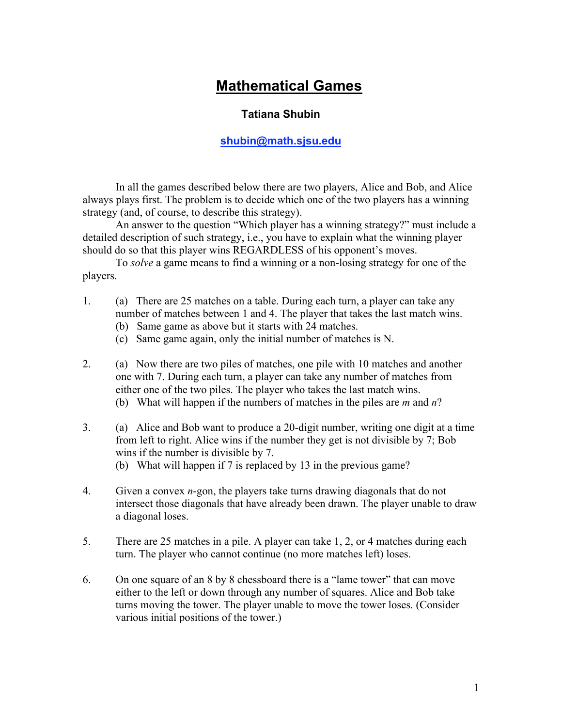## **Mathematical Games**

## **Tatiana Shubin**

## **shubin@math.sjsu.edu**

In all the games described below there are two players, Alice and Bob, and Alice always plays first. The problem is to decide which one of the two players has a winning strategy (and, of course, to describe this strategy).

An answer to the question "Which player has a winning strategy?" must include a detailed description of such strategy, i.e., you have to explain what the winning player should do so that this player wins REGARDLESS of his opponent's moves.

To *solve* a game means to find a winning or a non-losing strategy for one of the players.

- 1. (a) There are 25 matches on a table. During each turn, a player can take any number of matches between 1 and 4. The player that takes the last match wins.
	- (b) Same game as above but it starts with 24 matches.
	- (c) Same game again, only the initial number of matches is N.
- 2. (a) Now there are two piles of matches, one pile with 10 matches and another one with 7. During each turn, a player can take any number of matches from either one of the two piles. The player who takes the last match wins.
	- (b) What will happen if the numbers of matches in the piles are *m* and *n*?
- 3. (a) Alice and Bob want to produce a 20-digit number, writing one digit at a time from left to right. Alice wins if the number they get is not divisible by 7; Bob wins if the number is divisible by 7.

(b) What will happen if 7 is replaced by 13 in the previous game?

- 4. Given a convex *n*-gon, the players take turns drawing diagonals that do not intersect those diagonals that have already been drawn. The player unable to draw a diagonal loses.
- 5. There are 25 matches in a pile. A player can take 1, 2, or 4 matches during each turn. The player who cannot continue (no more matches left) loses.
- 6. On one square of an 8 by 8 chessboard there is a "lame tower" that can move either to the left or down through any number of squares. Alice and Bob take turns moving the tower. The player unable to move the tower loses. (Consider various initial positions of the tower.)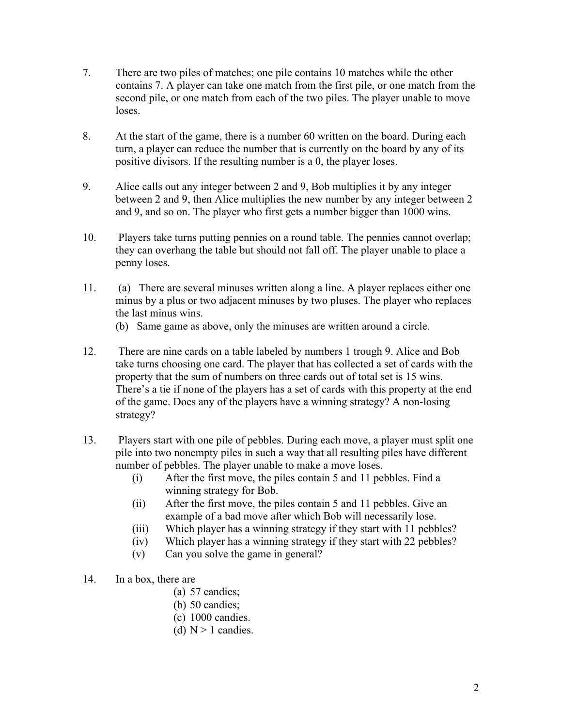- 7. There are two piles of matches; one pile contains 10 matches while the other contains 7. A player can take one match from the first pile, or one match from the second pile, or one match from each of the two piles. The player unable to move loses.
- 8. At the start of the game, there is a number 60 written on the board. During each turn, a player can reduce the number that is currently on the board by any of its positive divisors. If the resulting number is a 0, the player loses.
- 9. Alice calls out any integer between 2 and 9, Bob multiplies it by any integer between 2 and 9, then Alice multiplies the new number by any integer between 2 and 9, and so on. The player who first gets a number bigger than 1000 wins.
- 10. Players take turns putting pennies on a round table. The pennies cannot overlap; they can overhang the table but should not fall off. The player unable to place a penny loses.
- 11. (a) There are several minuses written along a line. A player replaces either one minus by a plus or two adjacent minuses by two pluses. The player who replaces the last minus wins.
	- (b) Same game as above, only the minuses are written around a circle.
- 12. There are nine cards on a table labeled by numbers 1 trough 9. Alice and Bob take turns choosing one card. The player that has collected a set of cards with the property that the sum of numbers on three cards out of total set is 15 wins. There's a tie if none of the players has a set of cards with this property at the end of the game. Does any of the players have a winning strategy? A non-losing strategy?
- 13. Players start with one pile of pebbles. During each move, a player must split one pile into two nonempty piles in such a way that all resulting piles have different number of pebbles. The player unable to make a move loses.
	- (i) After the first move, the piles contain 5 and 11 pebbles. Find a winning strategy for Bob.
	- (ii) After the first move, the piles contain 5 and 11 pebbles. Give an example of a bad move after which Bob will necessarily lose.
	- (iii) Which player has a winning strategy if they start with 11 pebbles?
	- (iv) Which player has a winning strategy if they start with 22 pebbles?
	- (v) Can you solve the game in general?
- 14. In a box, there are
	- (a) 57 candies;
	- (b) 50 candies;
	- (c) 1000 candies.
	- (d)  $N > 1$  candies.